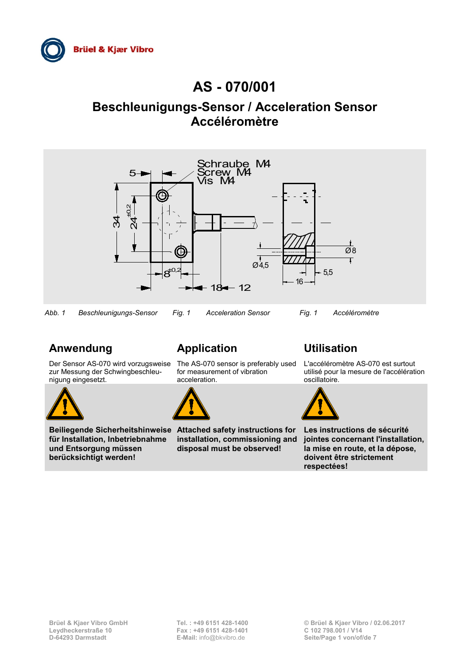

# **AS - 070/001**

# **Beschleunigungs-Sensor / Acceleration Sensor Accéléromètre**



# **Anwendung Application Utilisation**

Der Sensor AS-070 wird vorzugsweise The AS-070 sensor is preferably used zur Messung der Schwingbeschleunigung eingesetzt.



**für Installation, Inbetriebnahme und Entsorgung müssen berücksichtigt werden!**

for measurement of vibration acceleration.



**Beiliegende Sicherheitshinweise Attached safety instructions for Les instructions de sécurité installation, commissioning and disposal must be observed!**

L'accéléromètre AS-070 est surtout utilisé pour la mesure de l'accélération oscillatoire.



**jointes concernant l'installation, la mise en route, et la dépose, doivent être strictement respectées!**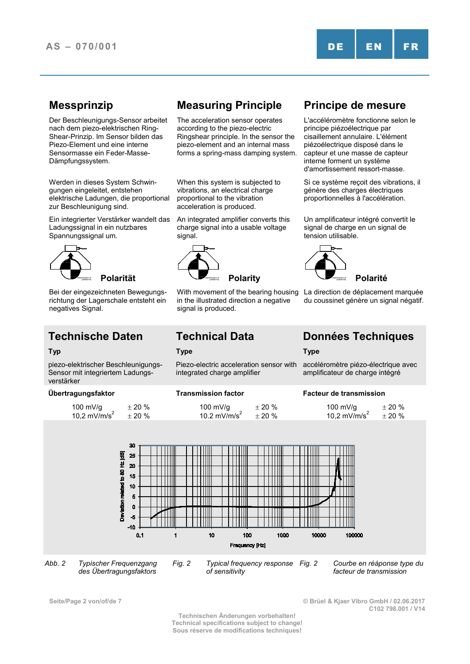Der Beschleunigungs-Sensor arbeitet nach dem piezo-elektrischen Ring-Shear-Prinzip. Im Sensor bilden das Piezo-Element und eine interne Sensormasse ein Feder-Masse-Dämpfungssystem.

Werden in dieses System Schwingungen eingeleitet, entstehen elektrische Ladungen, die proportional zur Beschleunigung sind.

Ein integrierter Verstärker wandelt das Ladungssignal in ein nutzbares Spannungssignal um.



Bei der eingezeichneten Bewegungsrichtung der Lagerschale entsteht ein negatives Signal.

piezo-elektrischer Beschleunigungs-Sensor mit integriertem Ladungsverstärker

| 100 mV/g<br>10,2 mV/m/s <sup>2</sup> | $+20%$ |
|--------------------------------------|--------|
|                                      | ± 20%  |

# **Messprinzip Measuring Principle Principe de mesure**

The acceleration sensor operates according to the piezo-electric Ringshear principle. In the sensor the piezo-element and an internal mass forms a spring-mass damping system.

When this system is subjected to vibrations, an electrical charge proportional to the vibration acceleration is produced.

An integrated amplifier converts this charge signal into a usable voltage signal.



With movement of the bearing housing in the illustrated direction a negative signal is produced.

### **Typ Type Type**

Piezo-electric acceleration sensor with integrated charge amplifier



*Abb. 2 Typischer Frequenzgang des Übertragungsfaktors*

*Fig. 2 Typical frequency response of sensitivity*

**Seite/Page 2 von/of/de 7 © Brüel & Kjaer Vibro GmbH / 02.06.2017 C102 798.001 / V14**

**Technischen Änderungen vorbehalten! Technical specifications subject to change! Sous réserve de modifications techniques!**

L'accéléromètre fonctionne selon le principe piézoélectrique par cisaillement annulaire. L'élément piézoélectrique disposé dans le capteur et une masse de capteur interne forment un système d'amortissement ressort-masse.

Si ce système reçoit des vibrations, il génère des charges électriques proportionnelles à l'accélération.

Un amplificateur intégré convertit le signal de charge en un signal de tension utilisable.



La direction de déplacement marquée du coussinet génère un signal négatif.

# **Technische Daten Technical Data Données Techniques**

accéléromètre piézo-électrique avec amplificateur de charge intégré

### **Übertragungsfaktor Transmission factor Facteur de transmission**

*Fig. 2 Courbe en réáponse type du facteur de transmission*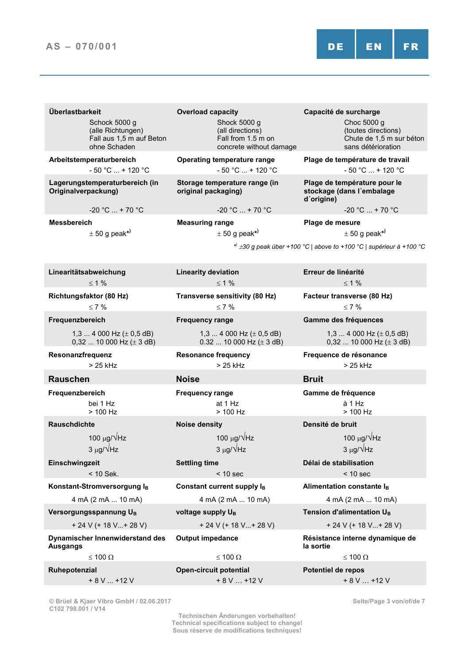| Überlastbarkeit<br>Schock 5000 g<br>(alle Richtungen)<br>Fall aus 1,5 m auf Beton<br>ohne Schaden | <b>Overload capacity</b><br>Shock 5000 g<br>(all directions)<br>Fall from 1.5 m on<br>concrete without damage | Capacité de surcharge<br>Choc 5000 g<br>(toutes directions)<br>Chute de 1,5 m sur béton<br>sans détérioration |  |  |
|---------------------------------------------------------------------------------------------------|---------------------------------------------------------------------------------------------------------------|---------------------------------------------------------------------------------------------------------------|--|--|
| Arbeitstemperaturbereich<br>$-50 °C  + 120 °C$                                                    | <b>Operating temperature range</b><br>$-50 °C  + 120 °C$                                                      | Plage de température de travail<br>$-50 °C  + 120 °C$                                                         |  |  |
| Lagerungstemperaturbereich (in<br>Originalverpackung)                                             | Storage temperature range (in<br>original packaging)                                                          | Plage de température pour le<br>stockage (dans l'embalage<br>d'origine)                                       |  |  |
| $-20 °C  + 70 °C$                                                                                 | $-20 °C  + 70 °C$                                                                                             | $-20 °C  + 70 °C$                                                                                             |  |  |
| <b>Messbereich</b><br>$\pm$ 50 g peak*)                                                           | <b>Measuring range</b><br>$\pm$ 50 g peak*)                                                                   | Plage de mesure<br>$\pm$ 50 g peak*)                                                                          |  |  |
|                                                                                                   |                                                                                                               | $\star$ $\pm$ 30 g peak über +100 °C   above to +100 °C   supérieur à +100 °C                                 |  |  |
| Linearitätsabweichung                                                                             | <b>Linearity deviation</b>                                                                                    | Erreur de linéarité                                                                                           |  |  |
| $\leq 1\%$                                                                                        | $\leq 1\%$                                                                                                    | $\leq 1\%$                                                                                                    |  |  |
| Richtungsfaktor (80 Hz)                                                                           | Transverse sensitivity (80 Hz)                                                                                | Facteur transverse (80 Hz)                                                                                    |  |  |
| $\leq 7\%$<br>Frequenzbereich                                                                     | $\leq 7\%$<br><b>Frequency range</b>                                                                          | $\leq 7\%$                                                                                                    |  |  |
|                                                                                                   |                                                                                                               | Gamme des fréquences                                                                                          |  |  |
| 1,3  4 000 Hz ( $\pm$ 0,5 dB)<br>0,32  10 000 Hz ( $\pm$ 3 dB)                                    | 1,3  4 000 Hz ( $\pm$ 0,5 dB)<br>$0.32$ 10 000 Hz ( $\pm$ 3 dB)                                               | 1,3  4 000 Hz ( $\pm$ 0,5 dB)<br>0,32  10 000 Hz ( $\pm$ 3 dB)                                                |  |  |
| Resonanzfrequenz<br>$>25$ kHz                                                                     | <b>Resonance frequency</b><br>$>25$ kHz                                                                       | Frequence de résonance<br>$>25$ kHz<br><b>Bruit</b>                                                           |  |  |
| <b>Rauschen</b>                                                                                   | <b>Noise</b>                                                                                                  |                                                                                                               |  |  |
| Frequenzbereich<br>bei 1 Hz<br>$> 100$ Hz                                                         | <b>Frequency range</b><br>at 1 Hz<br>$> 100$ Hz                                                               | Gamme de fréquence<br>à 1 Hz<br>> 100 Hz                                                                      |  |  |
| <b>Rauschdichte</b>                                                                               | <b>Noise density</b>                                                                                          | Densité de bruit                                                                                              |  |  |
| 100 $\mu$ g/ $\sqrt{Hz}$                                                                          | 100 $\mu$ g/ $\sqrt{Hz}$                                                                                      | 100 μg/ VHz                                                                                                   |  |  |
| $3 \mu g/\sqrt{Hz}$                                                                               | $3 \mu g/\sqrt{Hz}$                                                                                           | $3 \mu g/\sqrt{Hz}$                                                                                           |  |  |
| Einschwingzeit<br>$<$ 10 Sek.                                                                     | <b>Settling time</b><br>$< 10$ sec                                                                            | Délai de stabilisation<br>$< 10$ sec                                                                          |  |  |
| Konstant-Stromversorgung IB                                                                       | Constant current supply IB                                                                                    | Alimentation constante IB                                                                                     |  |  |
| 4 mA (2 mA  10 mA)                                                                                | 4 mA (2 mA  10 mA)                                                                                            | 4 mA (2 mA  10 mA)                                                                                            |  |  |
| Versorgungsspannung UB<br>voltage supply U <sub>B</sub>                                           |                                                                                                               | Tension d'alimentation UB                                                                                     |  |  |
| $+ 24 V (+ 18 V + 28 V)$                                                                          | $+ 24 V (+ 18 V  + 28 V)$                                                                                     | $+ 24 V (+ 18 V  + 28 V)$                                                                                     |  |  |
| Dynamischer Innenwiderstand des<br><b>Ausgangs</b>                                                | <b>Output impedance</b>                                                                                       | Résistance interne dynamique de<br>la sortie                                                                  |  |  |
| ≤ 100 Ω                                                                                           | $\leq$ 100 $\Omega$                                                                                           | ≤ 100 Ω                                                                                                       |  |  |
| Ruhepotenzial<br>$+ 8 V  + 12 V$                                                                  | <b>Open-circuit potential</b><br>$+ 8 V  + 12 V$                                                              | Potentiel de repos<br>$+8V+12V$                                                                               |  |  |

**© Brüel & Kjaer Vibro GmbH / 02.06.2017 C102 798.001 / V14**

**Technischen Änderungen vorbehalten! Technical specifications subject to change! Sous réserve de modifications techniques!**

**Seite/Page 3 von/of/de 7**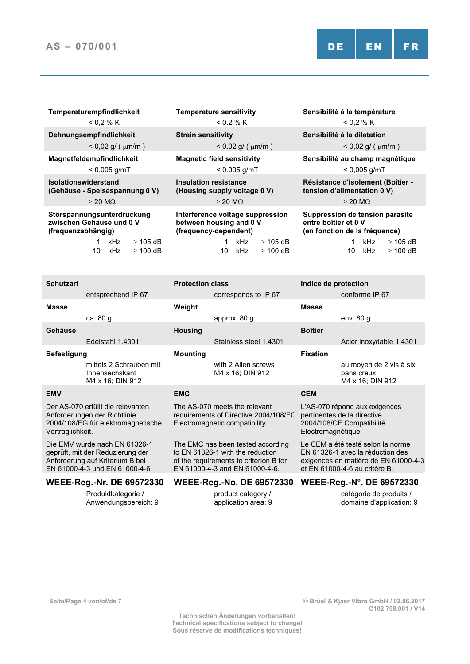| < 0.2 % K                                                                             | < 0.2 % K                                                                            | < 0.2 % K                                                                                                                                                                            |  |
|---------------------------------------------------------------------------------------|--------------------------------------------------------------------------------------|--------------------------------------------------------------------------------------------------------------------------------------------------------------------------------------|--|
| Dehnungsempfindlichkeit<br>$< 0.02$ g/ ( $\mu$ m/m )                                  | <b>Strain sensitivity</b><br>$< 0.02$ g/ ( $\mu$ m/m )                               | Sensibilité à la dilatation<br>$< 0.02$ g/ ( $\mu$ m/m)                                                                                                                              |  |
| Magnetfeldempfindlichkeit<br>$< 0.005$ g/mT                                           | <b>Magnetic field sensitivity</b><br>$< 0.005$ g/mT                                  | Sensibilité au champ magnétique<br>$< 0.005$ g/mT                                                                                                                                    |  |
| <b>Isolationswiderstand</b><br>(Gehäuse - Speisespannung 0 V)<br>$\geq$ 20 M $\Omega$ | <b>Insulation resistance</b><br>(Housing supply voltage 0 V)<br>$\geq$ 20 M $\Omega$ | Résistance d'isolement (Boîtier -<br>tension d'alimentation 0 V)<br>$\geq$ 20 M $\Omega$<br>Suppression de tension parasite<br>entre boîtier et 0 V<br>(en fonction de la fréquence) |  |
| Störspannungsunterdrückung<br>zwischen Gehäuse und 0 V<br>(frequenzabhängig)          | Interference voltage suppression<br>between housing and 0 V<br>(frequency-dependent) |                                                                                                                                                                                      |  |
| kHz<br>$\geq$ 105 dB<br>kHz<br>10<br>$\geq$ 100 dB                                    | kHz<br>$\geq$ 105 dB<br>kHz<br>$\geq$ 100 dB<br>10                                   | kHz<br>$\geq$ 105 dB<br>kHz<br>10<br>$\geq 100$ dB                                                                                                                                   |  |
|                                                                                       |                                                                                      |                                                                                                                                                                                      |  |

**Temperaturempfindlichkeit Temperature sensitivity Sensibilité à la température**

| Schutzart                                                                                                                              |                                                               | <b>Protection class</b>                                                                                  |                                                                                                                                                   | Indice de protection                                                                                            |                                                                                                                                                |
|----------------------------------------------------------------------------------------------------------------------------------------|---------------------------------------------------------------|----------------------------------------------------------------------------------------------------------|---------------------------------------------------------------------------------------------------------------------------------------------------|-----------------------------------------------------------------------------------------------------------------|------------------------------------------------------------------------------------------------------------------------------------------------|
|                                                                                                                                        | entsprechend IP 67                                            |                                                                                                          | corresponds to IP 67                                                                                                                              |                                                                                                                 | conforme IP 67                                                                                                                                 |
| <b>Masse</b>                                                                                                                           |                                                               | Weight                                                                                                   |                                                                                                                                                   | <b>Masse</b>                                                                                                    |                                                                                                                                                |
|                                                                                                                                        | ca. 80 g                                                      |                                                                                                          | approx. 80 g                                                                                                                                      |                                                                                                                 | env. $80 g$                                                                                                                                    |
| Gehäuse                                                                                                                                |                                                               | <b>Housing</b>                                                                                           |                                                                                                                                                   | <b>Boîtier</b>                                                                                                  |                                                                                                                                                |
|                                                                                                                                        | Edelstahl 1.4301                                              |                                                                                                          | Stainless steel 1.4301                                                                                                                            |                                                                                                                 | Acier inoxydable 1.4301                                                                                                                        |
| <b>Befestigung</b>                                                                                                                     |                                                               | <b>Mounting</b>                                                                                          |                                                                                                                                                   | <b>Fixation</b>                                                                                                 |                                                                                                                                                |
|                                                                                                                                        | mittels 2 Schrauben mit<br>Innensechskant<br>M4 x 16; DIN 912 |                                                                                                          | with 2 Allen screws<br>M4 x 16; DIN 912                                                                                                           |                                                                                                                 | au moyen de 2 vis à six<br>pans creux<br>M4 x 16; DIN 912                                                                                      |
| <b>EMV</b>                                                                                                                             |                                                               | <b>EMC</b>                                                                                               |                                                                                                                                                   | <b>CEM</b>                                                                                                      |                                                                                                                                                |
| Der AS-070 erfüllt die relevanten<br>Anforderungen der Richtlinie<br>2004/108/EG für elektromagnetische<br>Verträglichkeit.            |                                                               | The AS-070 meets the relevant<br>requirements of Directive 2004/108/EC<br>Electromagnetic compatibility. |                                                                                                                                                   | L'AS-070 répond aux exigences<br>pertinentes de la directive<br>2004/108/CE Compatibilité<br>Electromagnétique. |                                                                                                                                                |
| Die EMV wurde nach EN 61326-1<br>geprüft, mit der Reduzierung der<br>Anforderung auf Kriterium B bei<br>EN 61000-4-3 und EN 61000-4-6. |                                                               |                                                                                                          | The EMC has been tested according<br>to EN 61326-1 with the reduction<br>of the requirements to criterion B for<br>EN 61000-4-3 and EN 61000-4-6. |                                                                                                                 | Le CEM a été testé selon la norme<br>EN 61326-1 avec la réduction des<br>exigences en matière de EN 61000-4-3<br>et EN 61000-4-6 au critère B. |

Produktkategorie / Anwendungsbereich: 9

### **WEEE-Reg.-Nr. DE 69572330 WEEE-Reg.-No. DE 69572330 WEEE-Reg.-N°. DE 69572330**

product category / application area: 9

catégorie de produits / domaine d'application: 9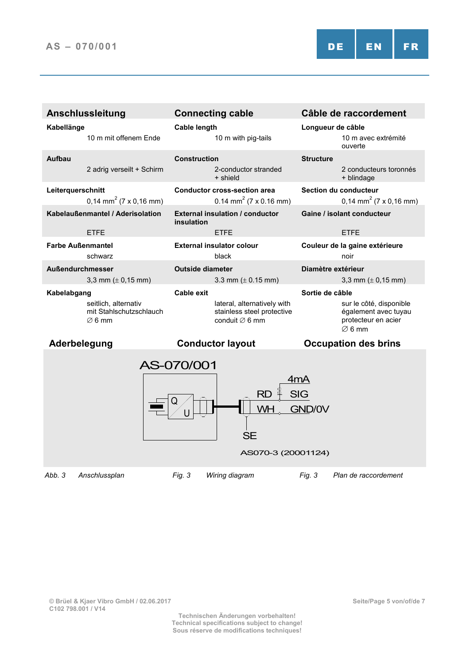| <b>Anschlussleitung</b>                                               | <b>Connecting cable</b>                                                                 | Câble de raccordement                                                                        |  |  |
|-----------------------------------------------------------------------|-----------------------------------------------------------------------------------------|----------------------------------------------------------------------------------------------|--|--|
| Kabellänge                                                            | <b>Cable length</b>                                                                     | Longueur de câble                                                                            |  |  |
| 10 m mit offenem Fnde                                                 | 10 m with pig-tails                                                                     | 10 m avec extrémité<br>ouverte                                                               |  |  |
| Aufbau                                                                | <b>Construction</b>                                                                     | <b>Structure</b>                                                                             |  |  |
| 2 adrig verseilt + Schirm                                             | 2-conductor stranded<br>+ shield                                                        | 2 conducteurs toronnés<br>+ blindage                                                         |  |  |
| Leiterquerschnitt<br>$0,14$ mm <sup>2</sup> (7 x 0,16 mm)             | <b>Conductor cross-section area</b><br>0.14 mm <sup>2</sup> (7 x 0.16 mm)               | Section du conducteur<br>0,14 mm <sup>2</sup> (7 x 0,16 mm)                                  |  |  |
| Kabelaußenmantel / Aderisolation                                      | <b>External insulation / conductor</b><br>insulation                                    | Gaine / isolant conducteur                                                                   |  |  |
| <b>ETFE</b>                                                           | <b>ETFE</b>                                                                             | <b>ETFE</b>                                                                                  |  |  |
| <b>Farbe Außenmantel</b>                                              | <b>External insulator colour</b>                                                        | Couleur de la gaine extérieure                                                               |  |  |
| schwarz                                                               | black                                                                                   | noir                                                                                         |  |  |
| Außendurchmesser                                                      | <b>Outside diameter</b>                                                                 | Diamètre extérieur                                                                           |  |  |
| 3,3 mm $(\pm 0, 15$ mm)                                               | 3.3 mm ( $\pm$ 0.15 mm)                                                                 | 3,3 mm ( $\pm$ 0,15 mm)                                                                      |  |  |
| Kabelabgang                                                           | Cable exit                                                                              | Sortie de câble                                                                              |  |  |
| seitlich, alternativ<br>mit Stahlschutzschlauch<br>$\varnothing$ 6 mm | lateral, alternatively with<br>stainless steel protective<br>conduit $\varnothing$ 6 mm | sur le côté, disponible<br>également avec tuyau<br>protecteur en acier<br>$\varnothing$ 6 mm |  |  |
| Aderbelegung                                                          | <b>Conductor layout</b>                                                                 | <b>Occupation des brins</b>                                                                  |  |  |
| AS-070/001<br>4mA                                                     |                                                                                         |                                                                                              |  |  |
| RD<br>Q                                                               |                                                                                         |                                                                                              |  |  |

GND/0V

AS070-3 (20001124)

**SE** 

*Abb. 3 Anschlussplan Fig. 3 Wiring diagram Fig. 3 Plan de raccordement*

WH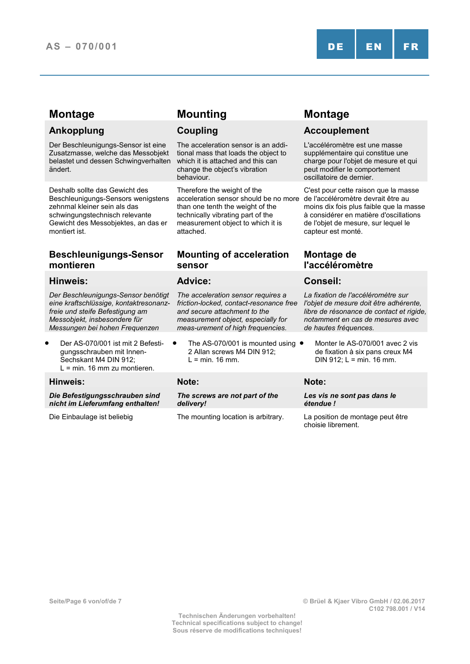Der Beschleunigungs-Sensor ist eine Zusatzmasse, welche das Messobjekt belastet und dessen Schwingverhalten ändert.

Deshalb sollte das Gewicht des Beschleunigungs-Sensors wenigstens zehnmal kleiner sein als das schwingungstechnisch relevante Gewicht des Messobjektes, an das er montiert ist.

## **Beschleunigungs-Sensor montieren**

## **Hinweis: Advice: Conseil:**

*Der Beschleunigungs-Sensor benötigt eine kraftschlüssige, kontaktresonanzfreie und steife Befestigung am Messobjekt, insbesondere für Messungen bei hohen Frequenzen*

• Der AS-070/001 ist mit 2 Befestigungsschrauben mit Innen-Sechskant M4 DIN 912; L = min. 16 mm zu montieren.

## **Hinweis: Note: Note:**

*Die Befestigungsschrauben sind nicht im Lieferumfang enthalten!*

# **Montage Mounting Montage**

The acceleration sensor is an additional mass that loads the object to which it is attached and this can change the object's vibration behaviour.

Therefore the weight of the acceleration sensor should be no more de l'accéléromètre devrait être au than one tenth the weight of the technically vibrating part of the measurement object to which it is attached.

## **Mounting of acceleration sensor**

*The acceleration sensor requires a friction-locked, contact-resonance free and secure attachment to the measurement object, especially for meas-urement of high frequencies.*

The AS-070/001 is mounted using  $\bullet$ 2 Allan screws M4 DIN 912;  $L = min. 16 mm.$ 

*The screws are not part of the delivery!*

Die Einbaulage ist beliebig The mounting location is arbitrary. La position de montage peut être

## **Ankopplung Coupling Accouplement**

L'accéléromètre est une masse supplémentaire qui constitue une charge pour l'objet de mesure et qui peut modifier le comportement oscillatoire de dernier.

C'est pour cette raison que la masse moins dix fois plus faible que la masse à considérer en matière d'oscillations de l'objet de mesure, sur lequel le capteur est monté.

## **Montage de l'accéléromètre**

*La fixation de l'accéléromètre sur l'objet de mesure doit être adhérente, libre de résonance de contact et rigide, notamment en cas de mesures avec de hautes fréquences.*

• Monter le AS-070/001 avec 2 vis de fixation à six pans creux M4 DIN 912;  $L = min.$  16 mm.

*Les vis ne sont pas dans le étendue !*

choisie librement.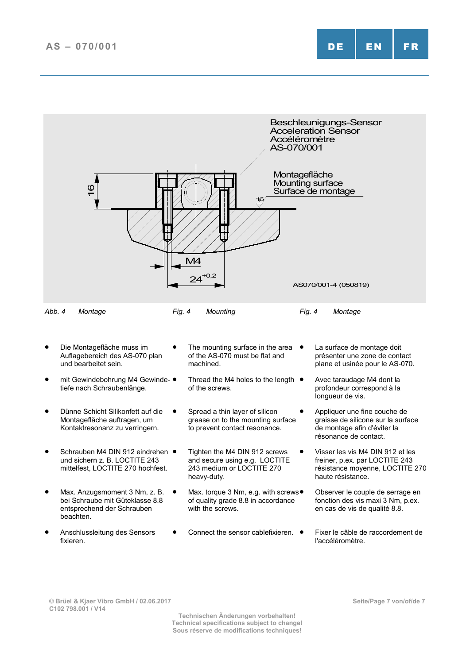

**© Brüel & Kjaer Vibro GmbH / 02.06.2017 C102 798.001 / V14**

**Technischen Änderungen vorbehalten! Technical specifications subject to change! Sous réserve de modifications techniques!**